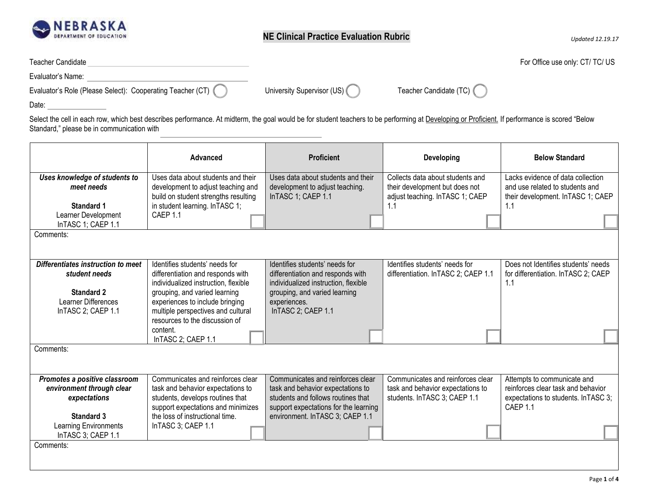

| <b>Teacher Candidate</b> | For Office use only: CT/ TC/ US |
|--------------------------|---------------------------------|
|--------------------------|---------------------------------|

Evaluator's Name:

| Evaluator's Role (Please Select): | Cooperating Teacher (C<br>1 U L | University Supervisor (US) | Teacher Candidate (TC) |
|-----------------------------------|---------------------------------|----------------------------|------------------------|
|                                   |                                 |                            |                        |

Date:

Select the cell in each row, which best describes performance. At midterm, the goal would be for student teachers to be performing at Developing or Proficient. If performance is scored "Below Standard," please be in communication with

|                                                                                                                                                | Advanced                                                                                                                                                                                                                                                | <b>Proficient</b>                                                                                                                                                                         | <b>Developing</b>                                                                                       | <b>Below Standard</b>                                                                                                 |
|------------------------------------------------------------------------------------------------------------------------------------------------|---------------------------------------------------------------------------------------------------------------------------------------------------------------------------------------------------------------------------------------------------------|-------------------------------------------------------------------------------------------------------------------------------------------------------------------------------------------|---------------------------------------------------------------------------------------------------------|-----------------------------------------------------------------------------------------------------------------------|
| Uses knowledge of students to<br>meet needs<br><b>Standard 1</b>                                                                               | Uses data about students and their<br>development to adjust teaching and<br>build on student strengths resulting<br>in student learning. In TASC 1;                                                                                                     | Uses data about students and their<br>development to adjust teaching.<br>InTASC 1; CAEP 1.1                                                                                               | Collects data about students and<br>their development but does not<br>adjust teaching. In TASC 1; CAEP  | Lacks evidence of data collection<br>and use related to students and<br>their development. In TASC 1; CAEP<br>1.1     |
| Learner Development<br>InTASC 1; CAEP 1.1                                                                                                      | CAEP 1.1                                                                                                                                                                                                                                                |                                                                                                                                                                                           |                                                                                                         |                                                                                                                       |
| Comments:                                                                                                                                      |                                                                                                                                                                                                                                                         |                                                                                                                                                                                           |                                                                                                         |                                                                                                                       |
| Differentiates instruction to meet<br>student needs<br>Standard 2<br><b>Learner Differences</b><br>InTASC 2; CAEP 1.1                          | Identifies students' needs for<br>differentiation and responds with<br>individualized instruction, flexible<br>grouping, and varied learning<br>experiences to include bringing<br>multiple perspectives and cultural<br>resources to the discussion of | Identifies students' needs for<br>differentiation and responds with<br>individualized instruction, flexible<br>grouping, and varied learning<br>experiences.<br>InTASC 2; CAEP 1.1        | Identifies students' needs for<br>differentiation. In TASC 2; CAEP 1.1                                  | Does not Identifies students' needs<br>for differentiation. In TASC 2; CAEP<br>1.1                                    |
|                                                                                                                                                | content.<br>InTASC 2; CAEP 1.1                                                                                                                                                                                                                          |                                                                                                                                                                                           |                                                                                                         |                                                                                                                       |
| Comments:                                                                                                                                      |                                                                                                                                                                                                                                                         |                                                                                                                                                                                           |                                                                                                         |                                                                                                                       |
| Promotes a positive classroom<br>environment through clear<br>expectations<br>Standard 3<br><b>Learning Environments</b><br>InTASC 3; CAEP 1.1 | Communicates and reinforces clear<br>task and behavior expectations to<br>students, develops routines that<br>support expectations and minimizes<br>the loss of instructional time.<br>InTASC 3; CAEP 1.1                                               | Communicates and reinforces clear<br>task and behavior expectations to<br>students and follows routines that<br>support expectations for the learning<br>environment. In TASC 3; CAEP 1.1 | Communicates and reinforces clear<br>task and behavior expectations to<br>students. In TASC 3; CAEP 1.1 | Attempts to communicate and<br>reinforces clear task and behavior<br>expectations to students. In TASC 3;<br>CAEP 1.1 |
| Comments:                                                                                                                                      |                                                                                                                                                                                                                                                         |                                                                                                                                                                                           |                                                                                                         |                                                                                                                       |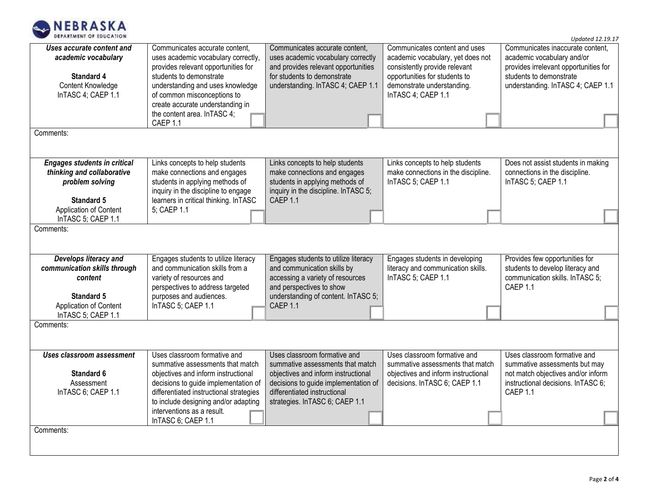

*Updated 12.19.17*

| Uses accurate content and<br>academic vocabulary<br><b>Standard 4</b><br>Content Knowledge<br>InTASC 4; CAEP 1.1<br>Comments:                      | Communicates accurate content,<br>uses academic vocabulary correctly,<br>provides relevant opportunities for<br>students to demonstrate<br>understanding and uses knowledge<br>of common misconceptions to<br>create accurate understanding in<br>the content area. In TASC 4;<br>CAEP 1.1 | Communicates accurate content,<br>uses academic vocabulary correctly<br>and provides relevant opportunities<br>for students to demonstrate<br>understanding. In TASC 4; CAEP 1.1                                   | Communicates content and uses<br>academic vocabulary, yet does not<br>consistently provide relevant<br>opportunities for students to<br>demonstrate understanding.<br>InTASC 4; CAEP 1.1 | Communicates inaccurate content,<br>academic vocabulary and/or<br>provides irrelevant opportunities for<br>students to demonstrate<br>understanding. In TASC 4; CAEP 1.1 |
|----------------------------------------------------------------------------------------------------------------------------------------------------|--------------------------------------------------------------------------------------------------------------------------------------------------------------------------------------------------------------------------------------------------------------------------------------------|--------------------------------------------------------------------------------------------------------------------------------------------------------------------------------------------------------------------|------------------------------------------------------------------------------------------------------------------------------------------------------------------------------------------|--------------------------------------------------------------------------------------------------------------------------------------------------------------------------|
|                                                                                                                                                    |                                                                                                                                                                                                                                                                                            |                                                                                                                                                                                                                    |                                                                                                                                                                                          |                                                                                                                                                                          |
| <b>Engages students in critical</b><br>thinking and collaborative<br>problem solving<br><b>Standard 5</b>                                          | Links concepts to help students<br>make connections and engages<br>students in applying methods of<br>inquiry in the discipline to engage<br>learners in critical thinking. InTASC                                                                                                         | Links concepts to help students<br>make connections and engages<br>students in applying methods of<br>inquiry in the discipline. In TASC 5;<br>CAEP 1.1                                                            | Links concepts to help students<br>make connections in the discipline.<br>InTASC 5; CAEP 1.1                                                                                             | Does not assist students in making<br>connections in the discipline.<br>InTASC 5; CAEP 1.1                                                                               |
| Application of Content<br>InTASC 5; CAEP 1.1                                                                                                       | 5; CAEP 1.1                                                                                                                                                                                                                                                                                |                                                                                                                                                                                                                    |                                                                                                                                                                                          |                                                                                                                                                                          |
| Comments:<br>Develops literacy and<br>communication skills through<br>content<br><b>Standard 5</b><br>Application of Content<br>InTASC 5; CAEP 1.1 | Engages students to utilize literacy<br>and communication skills from a<br>variety of resources and<br>perspectives to address targeted<br>purposes and audiences.<br>InTASC 5; CAEP 1.1                                                                                                   | Engages students to utilize literacy<br>and communication skills by<br>accessing a variety of resources<br>and perspectives to show<br>understanding of content. In TASC 5;<br>CAEP 1.1                            | Engages students in developing<br>literacy and communication skills.<br>InTASC 5; CAEP 1.1                                                                                               | Provides few opportunities for<br>students to develop literacy and<br>communication skills. InTASC 5;<br>CAEP 1.1                                                        |
| Comments:                                                                                                                                          |                                                                                                                                                                                                                                                                                            |                                                                                                                                                                                                                    |                                                                                                                                                                                          |                                                                                                                                                                          |
| <b>Uses classroom assessment</b><br><b>Standard 6</b><br>Assessment<br>InTASC 6; CAEP 1.1<br>Comments:                                             | Uses classroom formative and<br>summative assessments that match<br>objectives and inform instructional<br>decisions to guide implementation of<br>differentiated instructional strategies<br>to include designing and/or adapting<br>interventions as a result.<br>InTASC 6; CAEP 1.1     | Uses classroom formative and<br>summative assessments that match<br>objectives and inform instructional<br>decisions to guide implementation of<br>differentiated instructional<br>strategies. In TASC 6; CAEP 1.1 | Uses classroom formative and<br>summative assessments that match<br>objectives and inform instructional<br>decisions. In TASC 6; CAEP 1.1                                                | Uses classroom formative and<br>summative assessments but may<br>not match objectives and/or inform<br>instructional decisions. In TASC 6;<br>CAEP 1.1                   |
|                                                                                                                                                    |                                                                                                                                                                                                                                                                                            |                                                                                                                                                                                                                    |                                                                                                                                                                                          |                                                                                                                                                                          |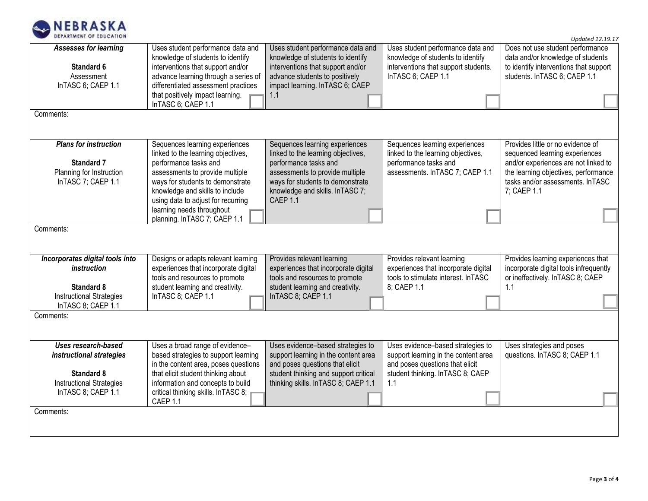

*Updated 12.19.17*

| <b>Assesses for learning</b><br>Standard 6<br>Assessment<br>InTASC 6; CAEP 1.1<br>Comments:                                   | Uses student performance data and<br>knowledge of students to identify<br>interventions that support and/or<br>advance learning through a series of<br>differentiated assessment practices<br>that positively impact learning.<br>InTASC 6; CAEP 1.1                                                       | Uses student performance data and<br>knowledge of students to identify<br>interventions that support and/or<br>advance students to positively<br>impact learning. InTASC 6; CAEP<br>1.1                              | Uses student performance data and<br>knowledge of students to identify<br>interventions that support students.<br>InTASC 6; CAEP 1.1                    | Does not use student performance<br>data and/or knowledge of students<br>to identify interventions that support<br>students. InTASC 6; CAEP 1.1                                                        |
|-------------------------------------------------------------------------------------------------------------------------------|------------------------------------------------------------------------------------------------------------------------------------------------------------------------------------------------------------------------------------------------------------------------------------------------------------|----------------------------------------------------------------------------------------------------------------------------------------------------------------------------------------------------------------------|---------------------------------------------------------------------------------------------------------------------------------------------------------|--------------------------------------------------------------------------------------------------------------------------------------------------------------------------------------------------------|
| <b>Plans for instruction</b><br><b>Standard 7</b><br>Planning for Instruction<br>InTASC 7; CAEP 1.1<br>Comments:              | Sequences learning experiences<br>linked to the learning objectives,<br>performance tasks and<br>assessments to provide multiple<br>ways for students to demonstrate<br>knowledge and skills to include<br>using data to adjust for recurring<br>learning needs throughout<br>planning. InTASC 7; CAEP 1.1 | Sequences learning experiences<br>linked to the learning objectives,<br>performance tasks and<br>assessments to provide multiple<br>ways for students to demonstrate<br>knowledge and skills. In TASC 7;<br>CAEP 1.1 | Sequences learning experiences<br>linked to the learning objectives,<br>performance tasks and<br>assessments. InTASC 7; CAEP 1.1                        | Provides little or no evidence of<br>sequenced learning experiences<br>and/or experiences are not linked to<br>the learning objectives, performance<br>tasks and/or assessments. InTASC<br>7; CAEP 1.1 |
|                                                                                                                               |                                                                                                                                                                                                                                                                                                            |                                                                                                                                                                                                                      |                                                                                                                                                         |                                                                                                                                                                                                        |
| Incorporates digital tools into<br>instruction<br><b>Standard 8</b><br><b>Instructional Strategies</b><br>InTASC 8; CAEP 1.1  | Designs or adapts relevant learning<br>experiences that incorporate digital<br>tools and resources to promote<br>student learning and creativity.<br>InTASC 8; CAEP 1.1                                                                                                                                    | Provides relevant learning<br>experiences that incorporate digital<br>tools and resources to promote<br>student learning and creativity.<br>InTASC 8; CAEP 1.1                                                       | Provides relevant learning<br>experiences that incorporate digital<br>tools to stimulate interest. InTASC<br>8; CAEP 1.1                                | Provides learning experiences that<br>incorporate digital tools infrequently<br>or ineffectively. In TASC 8; CAEP<br>1.1                                                                               |
| Comments:                                                                                                                     |                                                                                                                                                                                                                                                                                                            |                                                                                                                                                                                                                      |                                                                                                                                                         |                                                                                                                                                                                                        |
| Uses research-based<br>instructional strategies<br><b>Standard 8</b><br><b>Instructional Strategies</b><br>InTASC 8; CAEP 1.1 | Uses a broad range of evidence-<br>based strategies to support learning<br>in the content area, poses questions<br>that elicit student thinking about<br>information and concepts to build<br>critical thinking skills. InTASC 8;<br>CAEP 1.1                                                              | Uses evidence-based strategies to<br>support learning in the content area<br>and poses questions that elicit<br>student thinking and support critical<br>thinking skills. In TASC 8; CAEP 1.1                        | Uses evidence-based strategies to<br>support learning in the content area<br>and poses questions that elicit<br>student thinking. InTASC 8; CAEP<br>1.1 | Uses strategies and poses<br>questions. InTASC 8; CAEP 1.1                                                                                                                                             |
| Comments:                                                                                                                     |                                                                                                                                                                                                                                                                                                            |                                                                                                                                                                                                                      |                                                                                                                                                         |                                                                                                                                                                                                        |